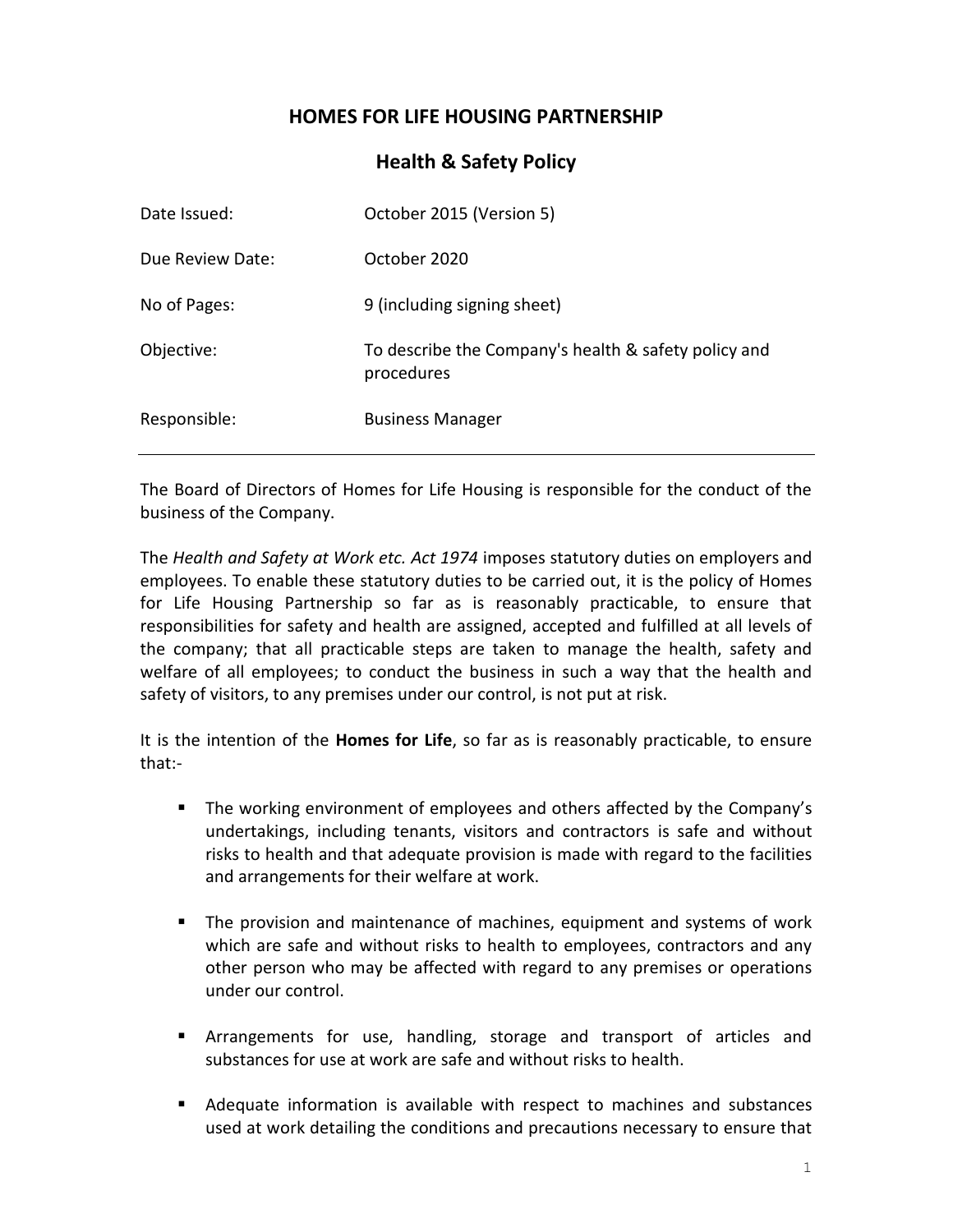# **HOMES FOR LIFE HOUSING PARTNERSHIP**

## **Health & Safety Policy**

| Date Issued:     | October 2015 (Version 5)                                           |
|------------------|--------------------------------------------------------------------|
| Due Review Date: | October 2020                                                       |
| No of Pages:     | 9 (including signing sheet)                                        |
| Objective:       | To describe the Company's health & safety policy and<br>procedures |
| Responsible:     | <b>Business Manager</b>                                            |

The Board of Directors of Homes for Life Housing is responsible for the conduct of the business of the Company.

The *Health and Safety at Work etc. Act 1974* imposes statutory duties on employers and employees. To enable these statutory duties to be carried out, it is the policy of Homes for Life Housing Partnership so far as is reasonably practicable, to ensure that responsibilities for safety and health are assigned, accepted and fulfilled at all levels of the company; that all practicable steps are taken to manage the health, safety and welfare of all employees; to conduct the business in such a way that the health and safety of visitors, to any premises under our control, is not put at risk.

It is the intention of the **Homes for Life**, so far as is reasonably practicable, to ensure that:-

- The working environment of employees and others affected by the Company's undertakings, including tenants, visitors and contractors is safe and without risks to health and that adequate provision is made with regard to the facilities and arrangements for their welfare at work.
- **•** The provision and maintenance of machines, equipment and systems of work which are safe and without risks to health to employees, contractors and any other person who may be affected with regard to any premises or operations under our control.
- Arrangements for use, handling, storage and transport of articles and substances for use at work are safe and without risks to health.
- Adequate information is available with respect to machines and substances used at work detailing the conditions and precautions necessary to ensure that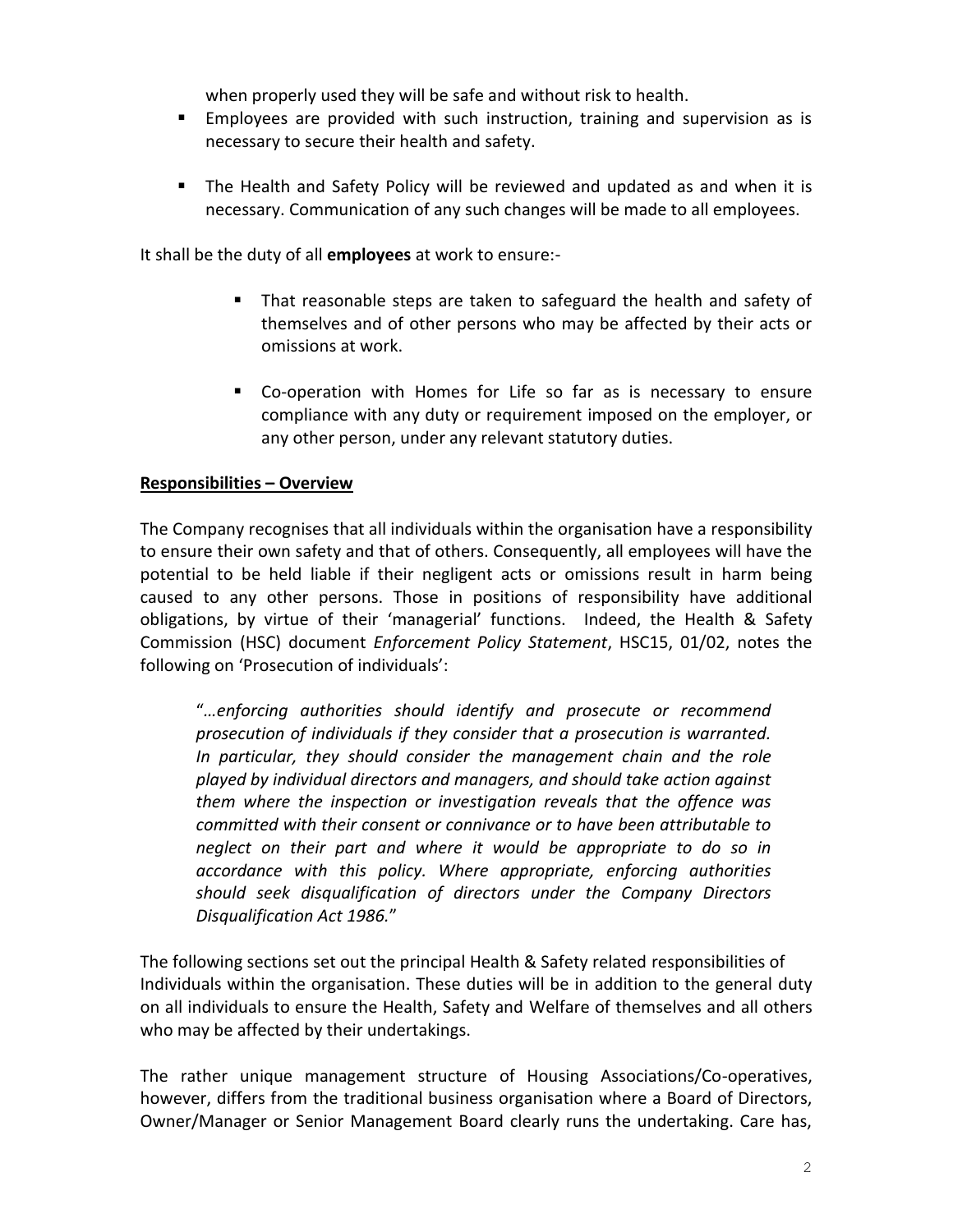when properly used they will be safe and without risk to health.

- **Employees are provided with such instruction, training and supervision as is** necessary to secure their health and safety.
- The Health and Safety Policy will be reviewed and updated as and when it is necessary. Communication of any such changes will be made to all employees.

It shall be the duty of all **employees** at work to ensure:-

- That reasonable steps are taken to safeguard the health and safety of themselves and of other persons who may be affected by their acts or omissions at work.
- Co-operation with Homes for Life so far as is necessary to ensure compliance with any duty or requirement imposed on the employer, or any other person, under any relevant statutory duties.

## **Responsibilities – Overview**

The Company recognises that all individuals within the organisation have a responsibility to ensure their own safety and that of others. Consequently, all employees will have the potential to be held liable if their negligent acts or omissions result in harm being caused to any other persons. Those in positions of responsibility have additional obligations, by virtue of their 'managerial' functions. Indeed, the Health & Safety Commission (HSC) document *Enforcement Policy Statement*, HSC15, 01/02, notes the following on 'Prosecution of individuals':

"*…enforcing authorities should identify and prosecute or recommend prosecution of individuals if they consider that a prosecution is warranted. In particular, they should consider the management chain and the role played by individual directors and managers, and should take action against them where the inspection or investigation reveals that the offence was committed with their consent or connivance or to have been attributable to neglect on their part and where it would be appropriate to do so in accordance with this policy. Where appropriate, enforcing authorities should seek disqualification of directors under the Company Directors Disqualification Act 1986.*"

The following sections set out the principal Health & Safety related responsibilities of Individuals within the organisation. These duties will be in addition to the general duty on all individuals to ensure the Health, Safety and Welfare of themselves and all others who may be affected by their undertakings.

The rather unique management structure of Housing Associations/Co-operatives, however, differs from the traditional business organisation where a Board of Directors, Owner/Manager or Senior Management Board clearly runs the undertaking. Care has,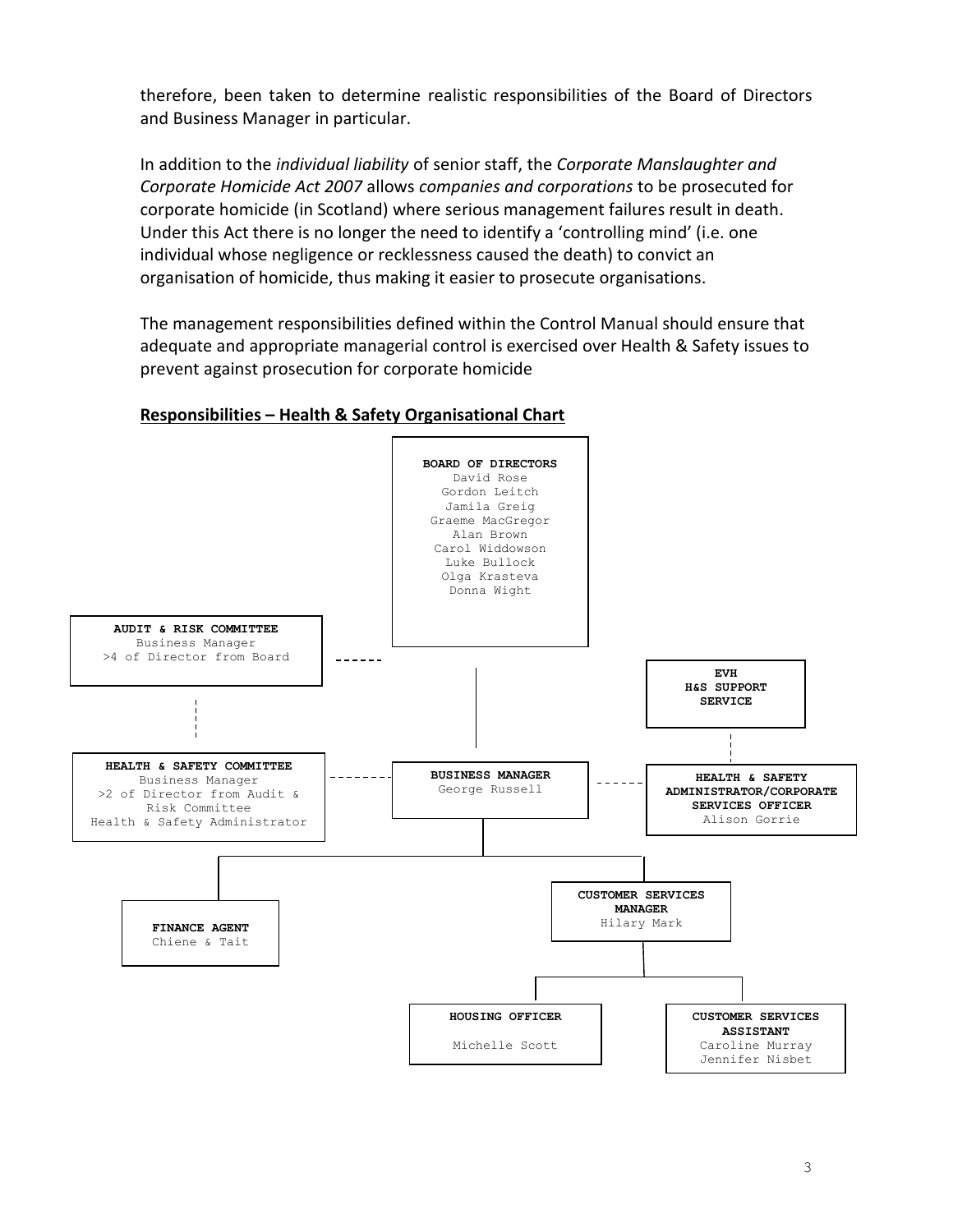therefore, been taken to determine realistic responsibilities of the Board of Directors and Business Manager in particular.

In addition to the *individual liability* of senior staff, the *Corporate Manslaughter and Corporate Homicide Act 2007* allows *companies and corporations* to be prosecuted for corporate homicide (in Scotland) where serious management failures result in death. Under this Act there is no longer the need to identify a 'controlling mind' (i.e. one individual whose negligence or recklessness caused the death) to convict an organisation of homicide, thus making it easier to prosecute organisations.

The management responsibilities defined within the Control Manual should ensure that adequate and appropriate managerial control is exercised over Health & Safety issues to prevent against prosecution for corporate homicide

## **Responsibilities – Health & Safety Organisational Chart**

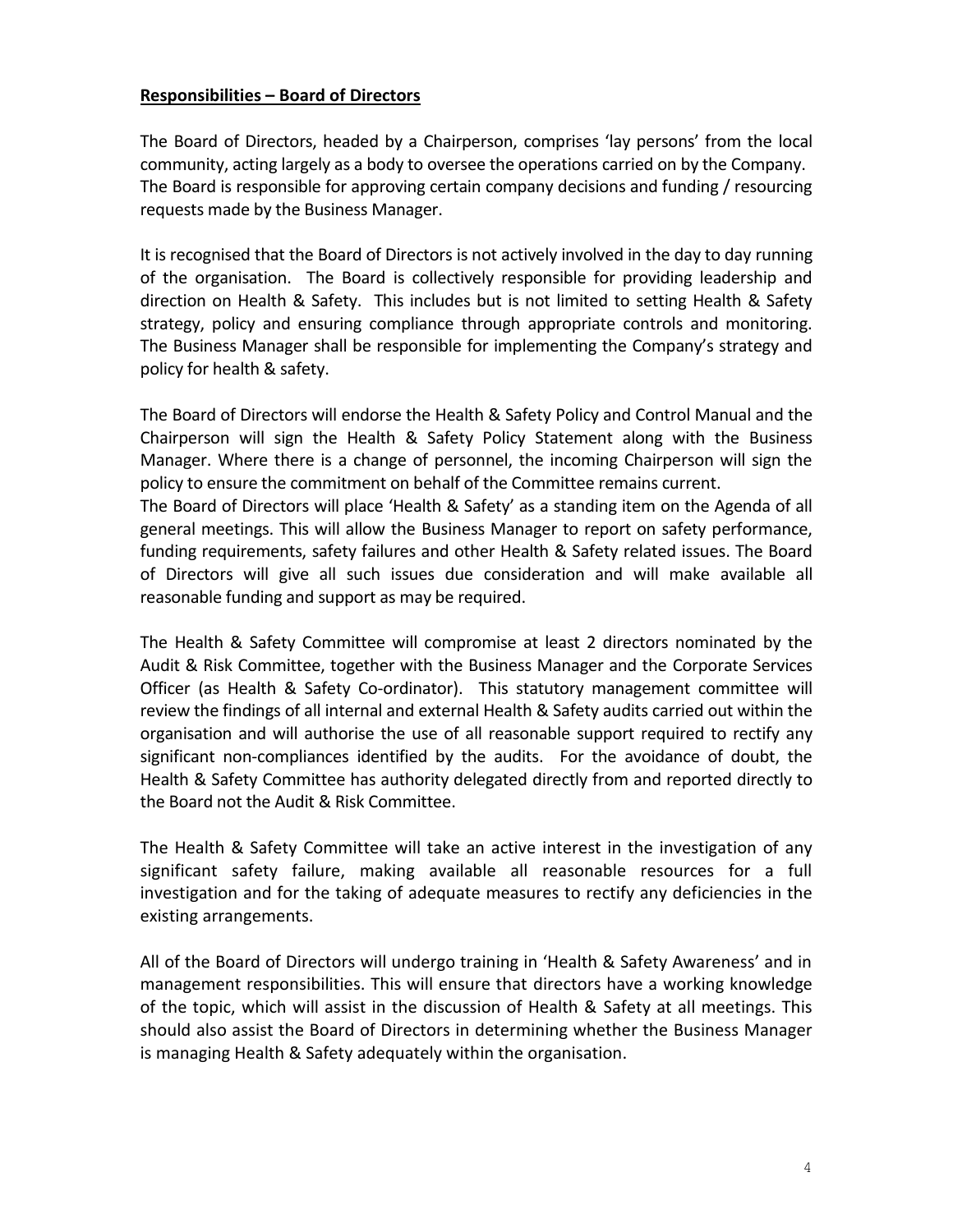### **Responsibilities – Board of Directors**

The Board of Directors, headed by a Chairperson, comprises 'lay persons' from the local community, acting largely as a body to oversee the operations carried on by the Company. The Board is responsible for approving certain company decisions and funding / resourcing requests made by the Business Manager.

It is recognised that the Board of Directors is not actively involved in the day to day running of the organisation. The Board is collectively responsible for providing leadership and direction on Health & Safety. This includes but is not limited to setting Health & Safety strategy, policy and ensuring compliance through appropriate controls and monitoring. The Business Manager shall be responsible for implementing the Company's strategy and policy for health & safety.

The Board of Directors will endorse the Health & Safety Policy and Control Manual and the Chairperson will sign the Health & Safety Policy Statement along with the Business Manager. Where there is a change of personnel, the incoming Chairperson will sign the policy to ensure the commitment on behalf of the Committee remains current. The Board of Directors will place 'Health & Safety' as a standing item on the Agenda of all

general meetings. This will allow the Business Manager to report on safety performance, funding requirements, safety failures and other Health & Safety related issues. The Board of Directors will give all such issues due consideration and will make available all reasonable funding and support as may be required.

The Health & Safety Committee will compromise at least 2 directors nominated by the Audit & Risk Committee, together with the Business Manager and the Corporate Services Officer (as Health & Safety Co-ordinator). This statutory management committee will review the findings of all internal and external Health & Safety audits carried out within the organisation and will authorise the use of all reasonable support required to rectify any significant non-compliances identified by the audits. For the avoidance of doubt, the Health & Safety Committee has authority delegated directly from and reported directly to the Board not the Audit & Risk Committee.

The Health & Safety Committee will take an active interest in the investigation of any significant safety failure, making available all reasonable resources for a full investigation and for the taking of adequate measures to rectify any deficiencies in the existing arrangements.

All of the Board of Directors will undergo training in 'Health & Safety Awareness' and in management responsibilities. This will ensure that directors have a working knowledge of the topic, which will assist in the discussion of Health & Safety at all meetings. This should also assist the Board of Directors in determining whether the Business Manager is managing Health & Safety adequately within the organisation.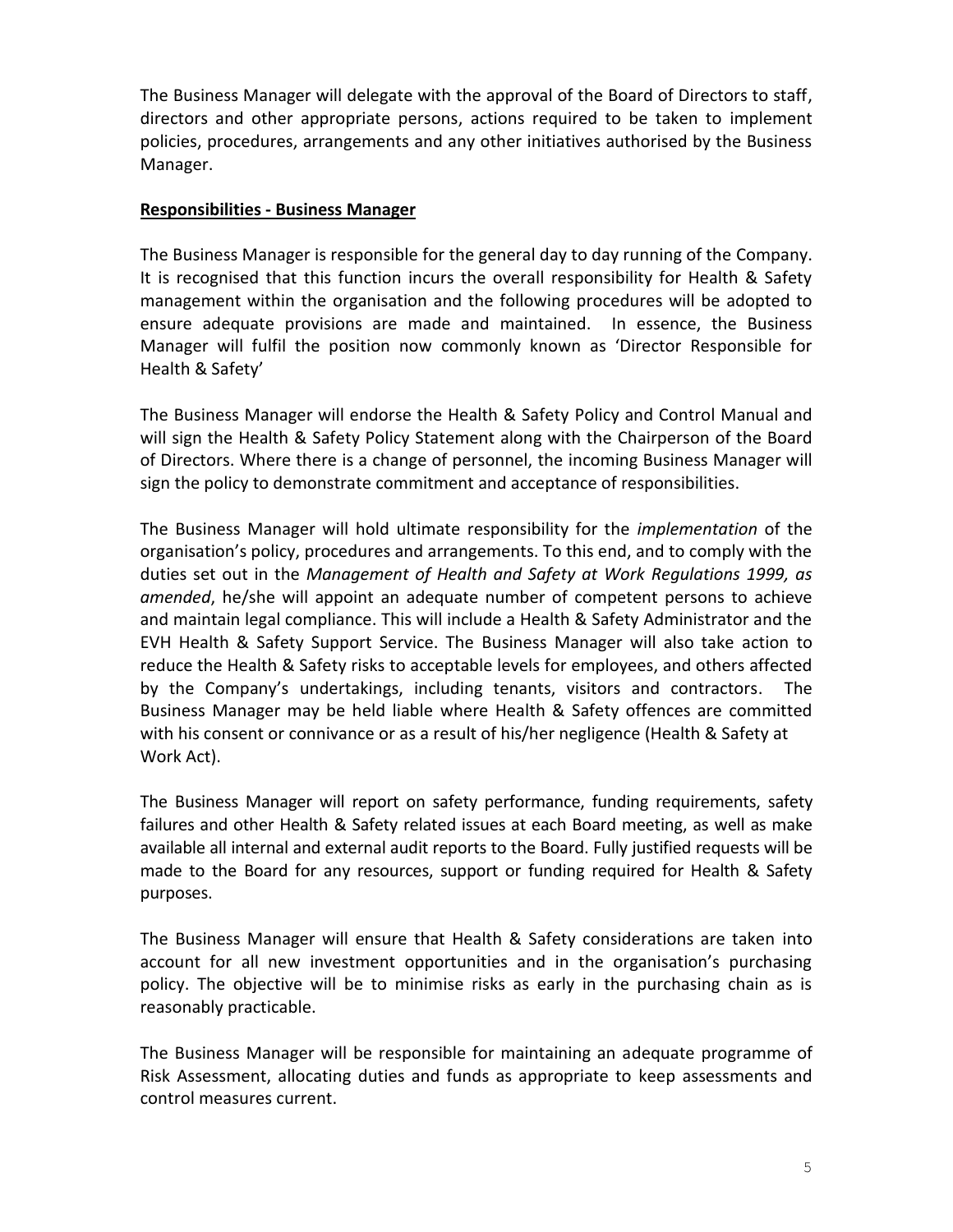The Business Manager will delegate with the approval of the Board of Directors to staff, directors and other appropriate persons, actions required to be taken to implement policies, procedures, arrangements and any other initiatives authorised by the Business Manager.

### **Responsibilities - Business Manager**

The Business Manager is responsible for the general day to day running of the Company. It is recognised that this function incurs the overall responsibility for Health & Safety management within the organisation and the following procedures will be adopted to ensure adequate provisions are made and maintained. In essence, the Business Manager will fulfil the position now commonly known as 'Director Responsible for Health & Safety'

The Business Manager will endorse the Health & Safety Policy and Control Manual and will sign the Health & Safety Policy Statement along with the Chairperson of the Board of Directors. Where there is a change of personnel, the incoming Business Manager will sign the policy to demonstrate commitment and acceptance of responsibilities.

The Business Manager will hold ultimate responsibility for the *implementation* of the organisation's policy, procedures and arrangements. To this end, and to comply with the duties set out in the *Management of Health and Safety at Work Regulations 1999, as amended*, he/she will appoint an adequate number of competent persons to achieve and maintain legal compliance. This will include a Health & Safety Administrator and the EVH Health & Safety Support Service. The Business Manager will also take action to reduce the Health & Safety risks to acceptable levels for employees, and others affected by the Company's undertakings, including tenants, visitors and contractors. The Business Manager may be held liable where Health & Safety offences are committed with his consent or connivance or as a result of his/her negligence (Health & Safety at Work Act).

The Business Manager will report on safety performance, funding requirements, safety failures and other Health & Safety related issues at each Board meeting, as well as make available all internal and external audit reports to the Board. Fully justified requests will be made to the Board for any resources, support or funding required for Health & Safety purposes.

The Business Manager will ensure that Health & Safety considerations are taken into account for all new investment opportunities and in the organisation's purchasing policy. The objective will be to minimise risks as early in the purchasing chain as is reasonably practicable.

The Business Manager will be responsible for maintaining an adequate programme of Risk Assessment, allocating duties and funds as appropriate to keep assessments and control measures current.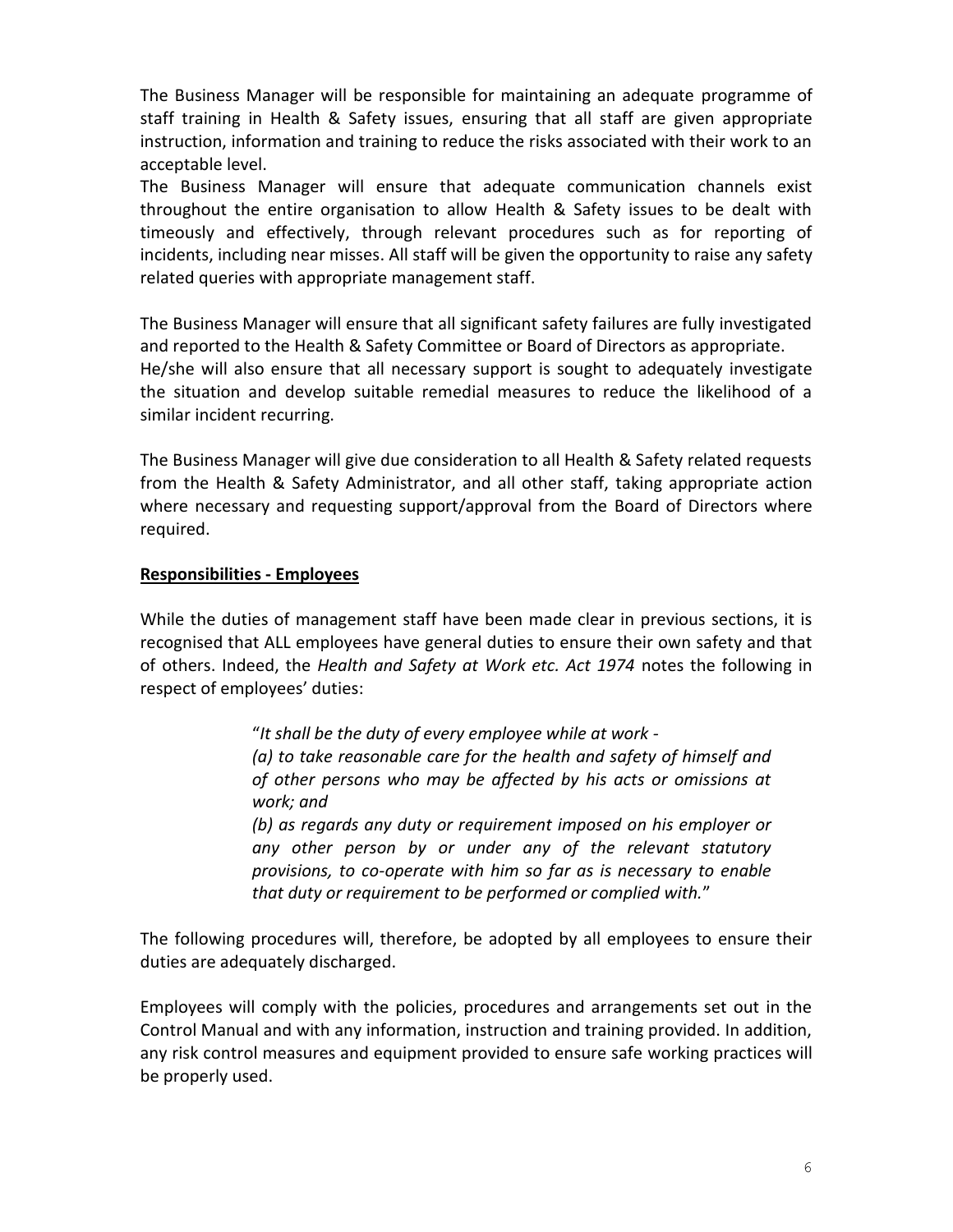The Business Manager will be responsible for maintaining an adequate programme of staff training in Health & Safety issues, ensuring that all staff are given appropriate instruction, information and training to reduce the risks associated with their work to an acceptable level.

The Business Manager will ensure that adequate communication channels exist throughout the entire organisation to allow Health & Safety issues to be dealt with timeously and effectively, through relevant procedures such as for reporting of incidents, including near misses. All staff will be given the opportunity to raise any safety related queries with appropriate management staff.

The Business Manager will ensure that all significant safety failures are fully investigated and reported to the Health & Safety Committee or Board of Directors as appropriate. He/she will also ensure that all necessary support is sought to adequately investigate the situation and develop suitable remedial measures to reduce the likelihood of a similar incident recurring.

The Business Manager will give due consideration to all Health & Safety related requests from the Health & Safety Administrator, and all other staff, taking appropriate action where necessary and requesting support/approval from the Board of Directors where required.

## **Responsibilities - Employees**

While the duties of management staff have been made clear in previous sections, it is recognised that ALL employees have general duties to ensure their own safety and that of others. Indeed, the *Health and Safety at Work etc. Act 1974* notes the following in respect of employees' duties:

> "*It shall be the duty of every employee while at work - (a) to take reasonable care for the health and safety of himself and of other persons who may be affected by his acts or omissions at work; and (b) as regards any duty or requirement imposed on his employer or*

> *any other person by or under any of the relevant statutory provisions, to co-operate with him so far as is necessary to enable that duty or requirement to be performed or complied with.*"

The following procedures will, therefore, be adopted by all employees to ensure their duties are adequately discharged.

Employees will comply with the policies, procedures and arrangements set out in the Control Manual and with any information, instruction and training provided. In addition, any risk control measures and equipment provided to ensure safe working practices will be properly used.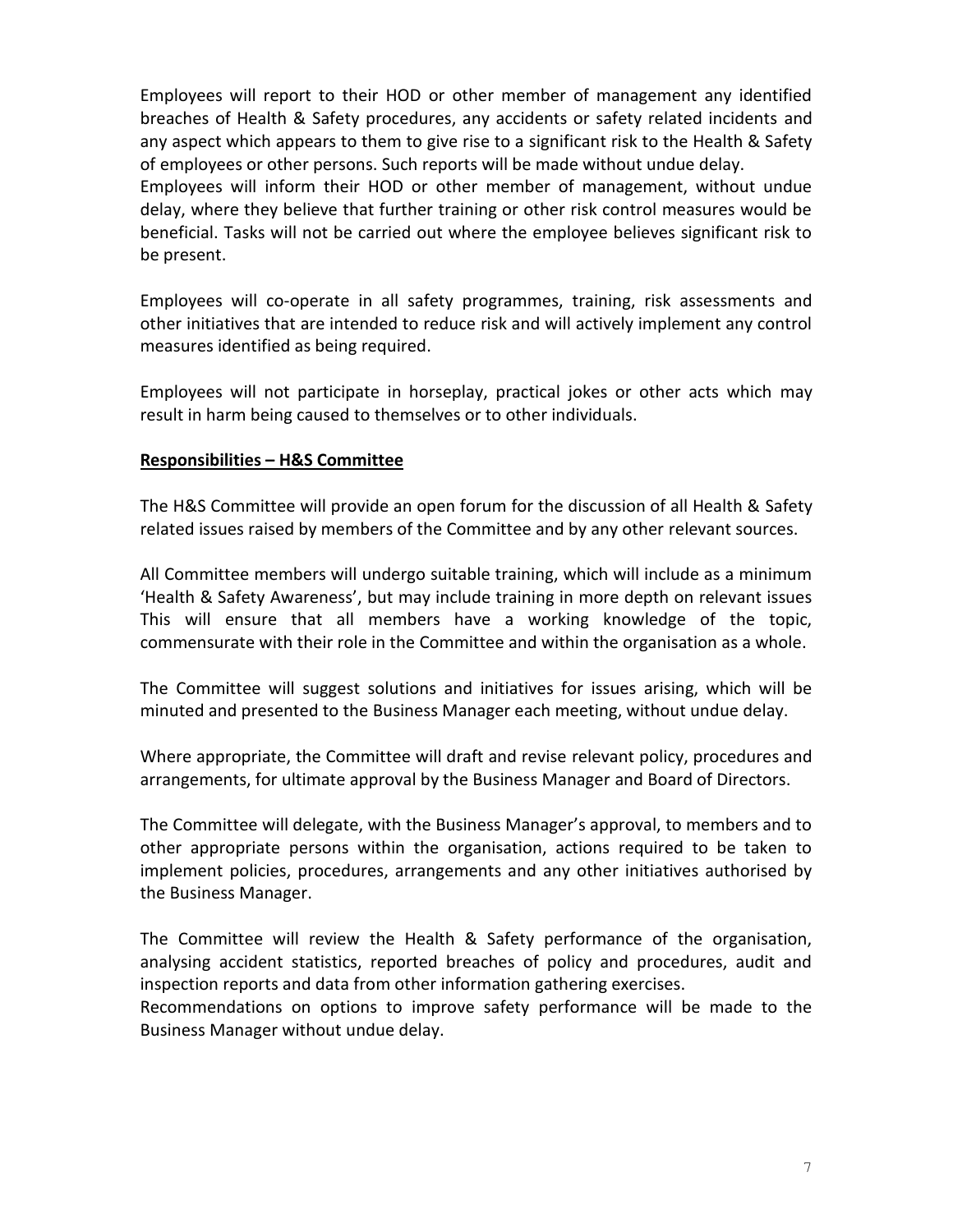Employees will report to their HOD or other member of management any identified breaches of Health & Safety procedures, any accidents or safety related incidents and any aspect which appears to them to give rise to a significant risk to the Health & Safety of employees or other persons. Such reports will be made without undue delay. Employees will inform their HOD or other member of management, without undue delay, where they believe that further training or other risk control measures would be beneficial. Tasks will not be carried out where the employee believes significant risk to be present.

Employees will co-operate in all safety programmes, training, risk assessments and other initiatives that are intended to reduce risk and will actively implement any control measures identified as being required.

Employees will not participate in horseplay, practical jokes or other acts which may result in harm being caused to themselves or to other individuals.

### **Responsibilities – H&S Committee**

The H&S Committee will provide an open forum for the discussion of all Health & Safety related issues raised by members of the Committee and by any other relevant sources.

All Committee members will undergo suitable training, which will include as a minimum 'Health & Safety Awareness', but may include training in more depth on relevant issues This will ensure that all members have a working knowledge of the topic, commensurate with their role in the Committee and within the organisation as a whole.

The Committee will suggest solutions and initiatives for issues arising, which will be minuted and presented to the Business Manager each meeting, without undue delay.

Where appropriate, the Committee will draft and revise relevant policy, procedures and arrangements, for ultimate approval by the Business Manager and Board of Directors.

The Committee will delegate, with the Business Manager's approval, to members and to other appropriate persons within the organisation, actions required to be taken to implement policies, procedures, arrangements and any other initiatives authorised by the Business Manager.

The Committee will review the Health & Safety performance of the organisation, analysing accident statistics, reported breaches of policy and procedures, audit and inspection reports and data from other information gathering exercises.

Recommendations on options to improve safety performance will be made to the Business Manager without undue delay.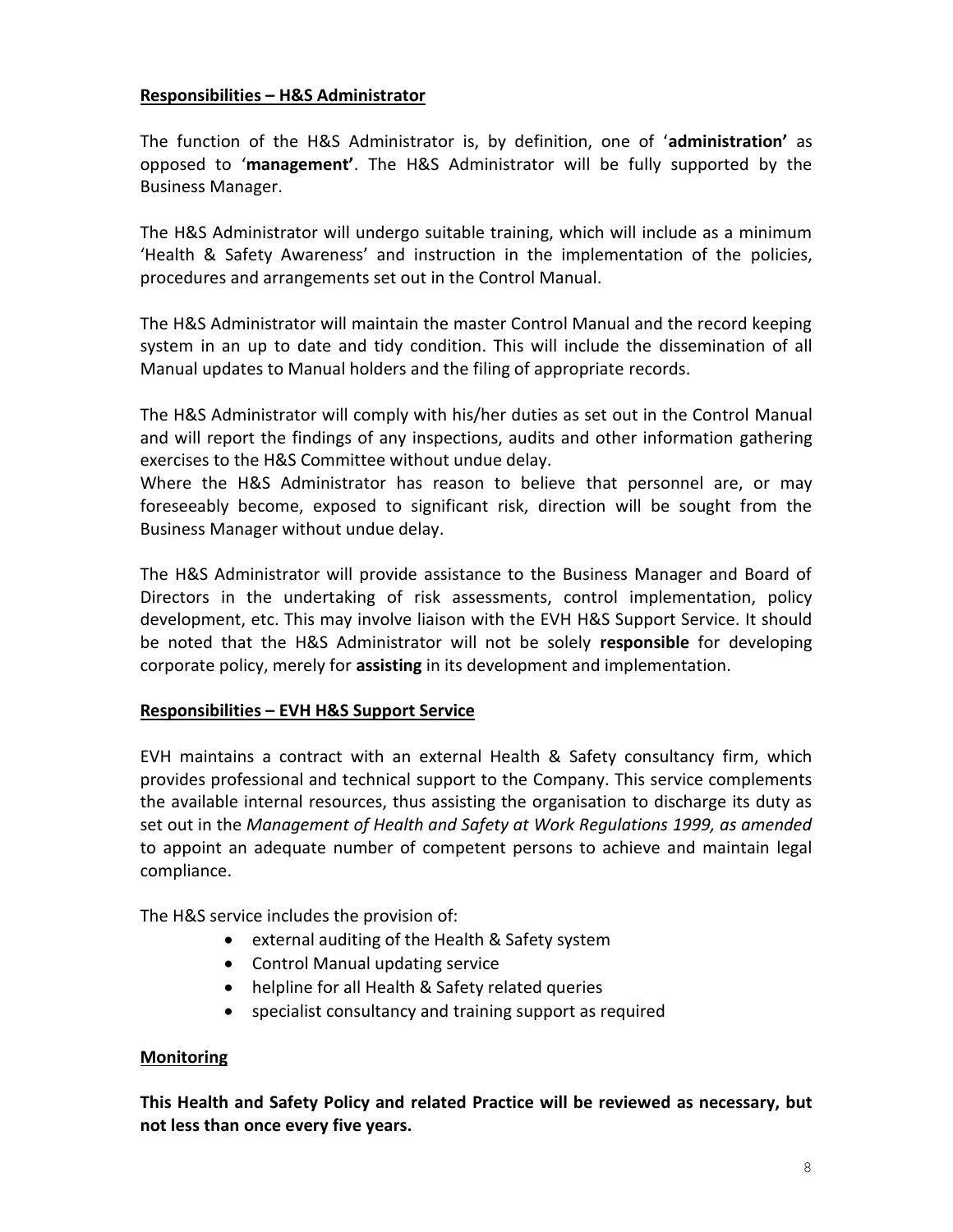### **Responsibilities – H&S Administrator**

The function of the H&S Administrator is, by definition, one of '**administration'** as opposed to '**management'**. The H&S Administrator will be fully supported by the Business Manager.

The H&S Administrator will undergo suitable training, which will include as a minimum 'Health & Safety Awareness' and instruction in the implementation of the policies, procedures and arrangements set out in the Control Manual.

The H&S Administrator will maintain the master Control Manual and the record keeping system in an up to date and tidy condition. This will include the dissemination of all Manual updates to Manual holders and the filing of appropriate records.

The H&S Administrator will comply with his/her duties as set out in the Control Manual and will report the findings of any inspections, audits and other information gathering exercises to the H&S Committee without undue delay.

Where the H&S Administrator has reason to believe that personnel are, or may foreseeably become, exposed to significant risk, direction will be sought from the Business Manager without undue delay.

The H&S Administrator will provide assistance to the Business Manager and Board of Directors in the undertaking of risk assessments, control implementation, policy development, etc. This may involve liaison with the EVH H&S Support Service. It should be noted that the H&S Administrator will not be solely **responsible** for developing corporate policy, merely for **assisting** in its development and implementation.

### **Responsibilities – EVH H&S Support Service**

EVH maintains a contract with an external Health & Safety consultancy firm, which provides professional and technical support to the Company. This service complements the available internal resources, thus assisting the organisation to discharge its duty as set out in the *Management of Health and Safety at Work Regulations 1999, as amended* to appoint an adequate number of competent persons to achieve and maintain legal compliance.

The H&S service includes the provision of:

- external auditing of the Health & Safety system
- Control Manual updating service
- helpline for all Health & Safety related queries
- specialist consultancy and training support as required

### **Monitoring**

**This Health and Safety Policy and related Practice will be reviewed as necessary, but not less than once every five years.**